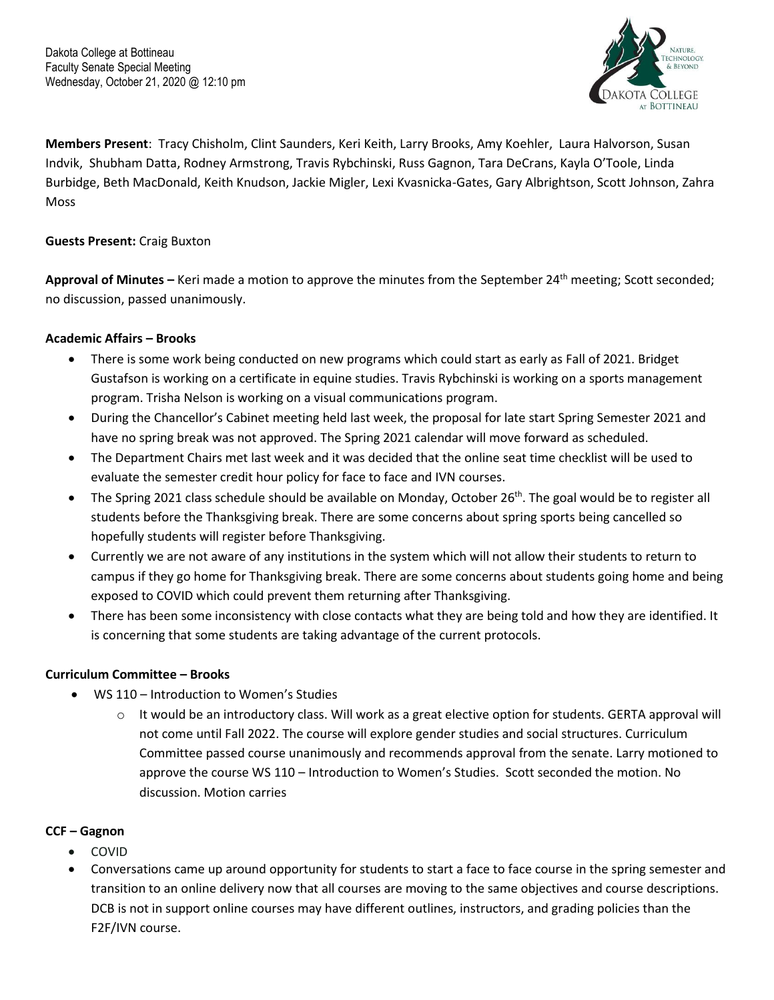

**Members Present**: Tracy Chisholm, Clint Saunders, Keri Keith, Larry Brooks, Amy Koehler, Laura Halvorson, Susan Indvik, Shubham Datta, Rodney Armstrong, Travis Rybchinski, Russ Gagnon, Tara DeCrans, Kayla O'Toole, Linda Burbidge, Beth MacDonald, Keith Knudson, Jackie Migler, Lexi Kvasnicka-Gates, Gary Albrightson, Scott Johnson, Zahra Moss

## **Guests Present:** Craig Buxton

**Approval of Minutes –** Keri made a motion to approve the minutes from the September 24th meeting; Scott seconded; no discussion, passed unanimously.

### **Academic Affairs – Brooks**

- There is some work being conducted on new programs which could start as early as Fall of 2021. Bridget Gustafson is working on a certificate in equine studies. Travis Rybchinski is working on a sports management program. Trisha Nelson is working on a visual communications program.
- During the Chancellor's Cabinet meeting held last week, the proposal for late start Spring Semester 2021 and have no spring break was not approved. The Spring 2021 calendar will move forward as scheduled.
- The Department Chairs met last week and it was decided that the online seat time checklist will be used to evaluate the semester credit hour policy for face to face and IVN courses.
- The Spring 2021 class schedule should be available on Monday, October 26th. The goal would be to register all students before the Thanksgiving break. There are some concerns about spring sports being cancelled so hopefully students will register before Thanksgiving.
- Currently we are not aware of any institutions in the system which will not allow their students to return to campus if they go home for Thanksgiving break. There are some concerns about students going home and being exposed to COVID which could prevent them returning after Thanksgiving.
- There has been some inconsistency with close contacts what they are being told and how they are identified. It is concerning that some students are taking advantage of the current protocols.

# **Curriculum Committee – Brooks**

- WS 110 Introduction to Women's Studies
	- $\circ$  It would be an introductory class. Will work as a great elective option for students. GERTA approval will not come until Fall 2022. The course will explore gender studies and social structures. Curriculum Committee passed course unanimously and recommends approval from the senate. Larry motioned to approve the course WS 110 – Introduction to Women's Studies. Scott seconded the motion. No discussion. Motion carries

#### **CCF – Gagnon**

- COVID
- Conversations came up around opportunity for students to start a face to face course in the spring semester and transition to an online delivery now that all courses are moving to the same objectives and course descriptions. DCB is not in support online courses may have different outlines, instructors, and grading policies than the F2F/IVN course.